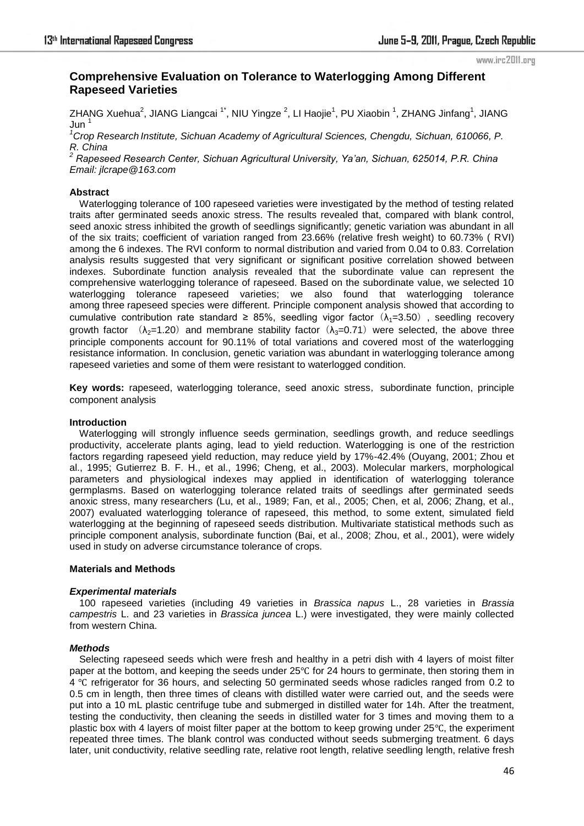#### www.irc2011.org

# **Comprehensive Evaluation on Tolerance to Waterlogging Among Different Rapeseed Varieties**

ZHANG Xuehua<sup>2</sup>, JIANG Liangcai <sup>1\*</sup>, NIU Yingze <sup>2</sup>, LI Haojie<sup>1</sup>, PU Xiaobin <sup>1</sup>, ZHANG Jinfang<sup>1</sup>, JIANG  $Jun<sup>1</sup>$ 

*<sup>1</sup>Crop Research Institute, Sichuan Academy of Agricultural Sciences, Chengdu, Sichuan, 610066, P. R. China* 

*<sup>2</sup> Rapeseed Research Center, Sichuan Agricultural University, Ya'an, Sichuan, 625014, P.R. China Email: jlcrape@163.com* 

# **Abstract**

Waterlogging tolerance of 100 rapeseed varieties were investigated by the method of testing related traits after germinated [seeds](http://www.iciba.com/seed/) anoxic stress. The results revealed that, compared with blank control, [seed](http://www.iciba.com/seed/) anoxic stress inhibited the growth of seedlings significantly; genetic variation was abundant in all of the six traits; coefficient of variation ranged from 23.66% (relative fresh weight) to 60.73% ( RVI) among the 6 indexes. The RVI conform to normal distribution and varied from 0.04 to 0.83. Correlation analysis results suggested that very significant or significant positive correlation showed between indexes. Subordinate function analysis revealed that the subordinate value can represent the comprehensive waterlogging tolerance of rapeseed. Based on the subordinate value, we selected 10 waterlogging tolerance rapeseed varieties; we also found that waterlogging tolerance among three rapeseed species were different. Principle component analysis showed that according to cumulative contribution rate standard  $\geq$  85%, seedling vigor factor  $(\lambda_1=3.50)$ , seedling recovery growth factor ( $\lambda_2=1.20$ ) and membrane stability factor ( $\lambda_3=0.71$ ) were selected, the above three principle components account for 90.11% of total variations and covered most of the waterlogging resistance information. In conclusion, genetic [variation](http://www.iciba.com/variation/) was abundant in waterlogging tolerance among rapeseed varieties and some of them were resistant to waterlogged condition.

**Key words:** rapeseed, waterlogging tolerance, [seed](http://www.iciba.com/seed/) anoxic stress, subordinate function, principle component analysis

#### **Introduction**

Waterlogging will strongly influence seeds germination, seedlings growth, and reduce seedlings productivity, accelerate plants aging, lead to yield reduction. Waterlogging is one of the restriction factors regarding rapeseed yield reduction, may reduce yield by 17%-42.4% (Ouyang, 2001; Zhou et al., 1995; Gutierrez B. F. H., et al., 1996; Cheng, et al., 2003). Molecular markers, morphological parameters and physiological indexes may applied in identification of waterlogging tolerance germplasms. Based on waterlogging tolerance related traits of seedlings after germinated seeds anoxic stress, many researchers (Lu, et al., 1989; Fan, et al., 2005; Chen, et al, 2006; Zhang, et al., 2007) evaluated waterlogging tolerance of rapeseed, this method, to some extent, simulated field waterlogging at the beginning of rapeseed seeds distribution. Multivariate statistical methods such as principle component analysis, subordinate function (Bai, et al., 2008; Zhou, et al., 2001), were widely used in study on adverse circumstance tolerance of crops.

#### **Materials and Methods**

# *Experimental materials*

100 rapeseed varieties (including 49 varieties in *Brassica napus* L., 28 varieties in *Brassia campestris* L. and 23 varieties in *Brassica juncea* L.) were investigated, they were mainly collected from western China.

# *Methods*

Selecting rapeseed seeds which were fresh and healthy in a petri dish with 4 layers of moist filter paper at the bottom, and keeping the seeds under 25℃ for 24 hours to germinate, then storing them in [4](http://www.iciba.com/4/) ℃ [refrigerator](http://www.iciba.com/refrigerator/) for 36 hours, and selecting 50 germinated seeds whose radicles ranged from 0.2 to 0.5 cm in length, then [three](http://www.iciba.com/three/) times of cleans with distilled water were carried out, and the seeds were put into a 10 mL plastic centrifuge tube and submerged in distilled water for 14h. After the treatment, testing the conductivity, then cleaning the seeds in distilled water for 3 times and moving them to a plastic box with 4 layers of moist filter paper at the bottom to keep growing under 25℃, the experiment repeated [three](http://www.iciba.com/three/) times. The blank control was conducted without seeds submerging treatment. 6 days later, unit conductivity, relative [seedling](http://www.iciba.com/seedling/) rate, relative root length, relative [seedling](http://www.iciba.com/seedling/) length, relative fresh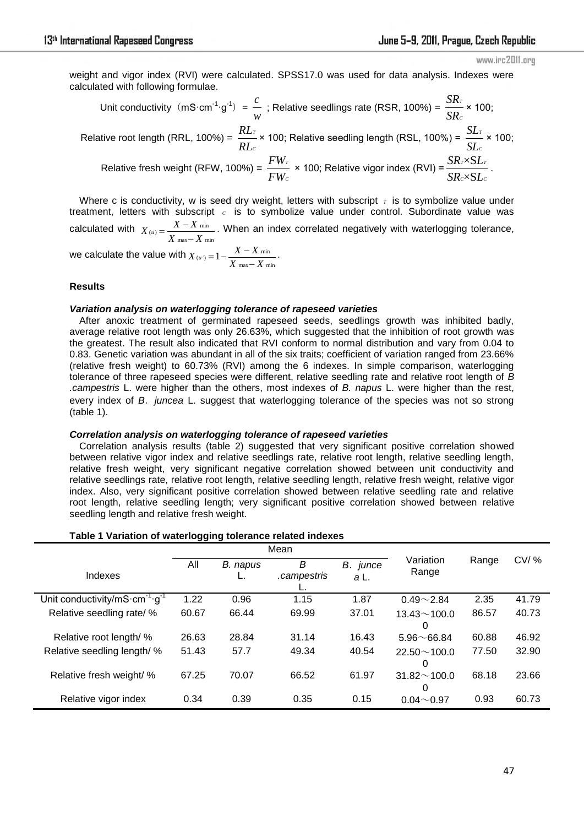www.irc2011.org

weight and vigor index (RVI) were calculated. SPSS17.0 was used for data analysis. Indexes were calculated with following formulae.

Unit conductivity (mS·cm<sup>-1</sup>·g<sup>-1</sup>) = 
$$
\frac{c}{w}
$$
; Relative seedlings rate (RSR, 100%) =  $\frac{SR_r}{SR_c}$  × 100;  
\nRelative root length (RRL, 100%) =  $\frac{RL_r}{RL_c}$  × 100; Relative seedling length (RSL, 100%) =  $\frac{SL_r}{SL_c}$  × 100;  
\nRelative fresh weight (RFW, 100%) =  $\frac{FW_r}{FW_c}$  × 100; Relative vigor index (RVI) =  $\frac{SR_r \times SL_r}{SR_c \times SL_c}$ .

Where c is conductivity, w is seed dry weight, letters with subscript  $\tau$  is to symbolize value under treatment, letters with subscript c is to symbolize value under control. Subordinate value was calculated with  $X_{(u)} = \frac{X - X_{\min}}{X_{\max} - X_{\min}}$  $\overline{X}$  max  $\overline{X}$  $=\frac{X-\lambda}{X_{\text{max}}-}$ . When an index correlated negatively with waterlogging tolerance, .

we calculate the value with  $X_{(u)} = 1 - \frac{X - X_{\min}}{X_{\max} - X_{\min}}$  $\overline{X}$  max –  $\overline{X}$  $=1-\frac{X-\lambda}{X_{\text{max}}-1}$ 

# **Results**

#### *Variation analysis on waterlogging tolerance of rapeseed varieties*

After anoxic treatment of germinated rapeseed seeds, seedlings growth was inhibited badly, average relative root length was only 26.63%, which suggested that the inhibition of root growth was the greatest. The result also indicated that RVI conform to normal distribution and vary from 0.04 to 0.83. Genetic variation was abundant in all of the six traits; coefficient of variation ranged from 23.66% (relative fresh weight) to 60.73% (RVI) among the 6 indexes. In simple comparison, waterlogging tolerance of three rapeseed species were different, relative seedling rate and relative root length of *B .campestris* L. were higher than the others, most indexes of *B. napus* L. were higher than the rest, every index of *B*.*juncea* L. suggest that waterlogging tolerance of the species was not so strong (table 1).

# *Correlation analysis on waterlogging tolerance of rapeseed varieties*

Correlation analysis results (table 2) suggested that very significant positive correlation showed between relative vigor index and relative seedlings rate, relative root length, relative seedling length, relative fresh weight, very significant negative correlation showed between unit conductivity and relative seedlings rate, relative root length, relative seedling length, relative fresh weight, relative vigor index. Also, very significant positive correlation showed between relative seedling rate and relative root length, relative seedling length; very significant positive correlation showed between relative seedling length and relative fresh weight.

#### **Table 1 Variation of waterlogging tolerance related indexes**

|                                                                       | Mean  |          |             |             |                    |       |         |
|-----------------------------------------------------------------------|-------|----------|-------------|-------------|--------------------|-------|---------|
| Indexes                                                               | All   | B. napus | B           | В.<br>junce | Variation<br>Range | Range | $CV/$ % |
|                                                                       |       |          | campestris. | a L.        |                    |       |         |
| Unit conductivity/mS $\cdot$ cm <sup>-1</sup> $\cdot$ g <sup>-1</sup> | 1.22  | 0.96     | 1.15        | 1.87        | $0.49 - 2.84$      | 2.35  | 41.79   |
| Relative seedling rate/ %                                             | 60.67 | 66.44    | 69.99       | 37.01       | $13.43 \sim 100.0$ | 86.57 | 40.73   |
|                                                                       |       |          |             |             | 0                  |       |         |
| Relative root length/ %                                               | 26.63 | 28.84    | 31.14       | 16.43       | $5.96 \sim 66.84$  | 60.88 | 46.92   |
| Relative seedling length/ %                                           | 51.43 | 57.7     | 49.34       | 40.54       | $22.50 \sim 100.0$ | 77.50 | 32.90   |
|                                                                       |       |          |             |             | 0                  |       |         |
| Relative fresh weight/ %                                              | 67.25 | 70.07    | 66.52       | 61.97       | $31.82 \sim 100.0$ | 68.18 | 23.66   |
|                                                                       |       |          |             |             | $\Omega$           |       |         |
| Relative vigor index                                                  | 0.34  | 0.39     | 0.35        | 0.15        | $0.04\neg 0.97$    | 0.93  | 60.73   |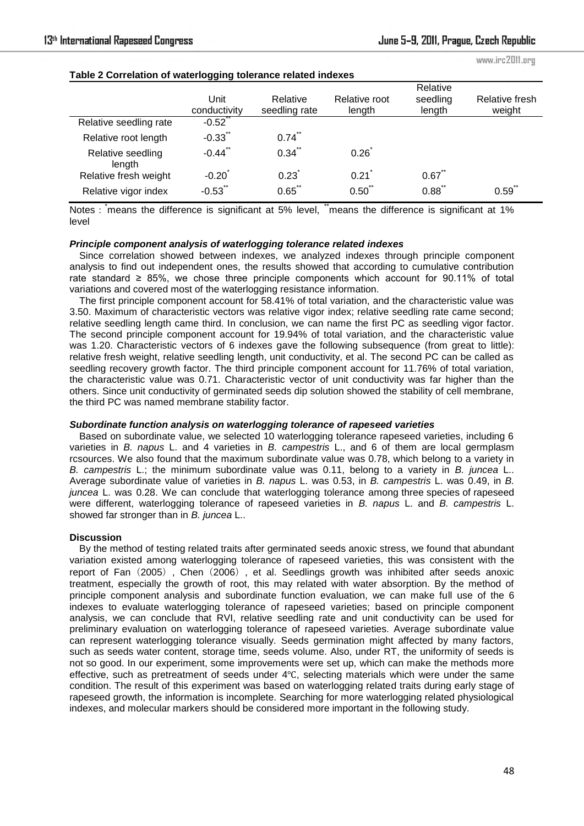www.irc2011.org

| Table 2 Correlation of waterlogging tolerance related indexes |                      |                           |                         |                                |                          |  |  |  |  |  |
|---------------------------------------------------------------|----------------------|---------------------------|-------------------------|--------------------------------|--------------------------|--|--|--|--|--|
|                                                               | Unit<br>conductivity | Relative<br>seedling rate | Relative root<br>length | Relative<br>seedling<br>length | Relative fresh<br>weight |  |  |  |  |  |
| Relative seedling rate                                        | $-0.52$              |                           |                         |                                |                          |  |  |  |  |  |
| Relative root length                                          | $-0.33$              | 0.74                      |                         |                                |                          |  |  |  |  |  |
| Relative seedling<br>length                                   | $-0.44$              | 0.34                      | 0.26                    |                                |                          |  |  |  |  |  |
| Relative fresh weight                                         | $-0.20$              | 0.23                      | 0.21                    | $0.67$ **                      |                          |  |  |  |  |  |
| Relative vigor index                                          | $-0.53$ **           | $0.65$ **                 | $0.50$ "                | $0.88$ **                      | 0.59                     |  |  |  |  |  |

# **Table 2 Correlation of waterlogging tolerance related indexes**

Notes : means the difference is significant at 5% level, "means the difference is significant at 1% level

# *Principle component analysis of waterlogging tolerance related indexes*

Since correlation showed between indexes, we analyzed indexes through principle component analysis to find out independent ones, the results showed that according to cumulative contribution rate standard ≥ 85%, we chose three principle components which account for 90.11% of total variations and covered most of the waterlogging resistance information.

The first principle component account for 58.41% of total variation, and the characteristic value was 3.50. Maximum of characteristic vectors was relative vigor index; relative seedling rate came second; relative seedling length came third. In conclusion, we can name the first PC as seedling vigor factor. The second principle component account for 19.94% of total variation, and the characteristic value was 1.20. Characteristic vectors of 6 indexes gave the following subsequence (from great to little): relative fresh weight, relative seedling length, unit conductivity, et al. The second PC can be called as seedling recovery growth factor. The third principle component account for 11.76% of total variation, the characteristic value was 0.71. Characteristic vector of unit conductivity was far higher than the others. Since unit conductivity of germinated seeds dip solution showed the stability of cell membrane, the third PC was named membrane stability factor.

# *Subordinate function analysis on waterlogging tolerance of rapeseed varieties*

Based on subordinate value, we selected 10 waterlogging tolerance rapeseed varieties, including 6 varieties in *B. napus* L. and 4 varieties in *B. campestris* L., and 6 of them are local germplasm rcsources. We also found that the maximum subordinate value was 0.78, which belong to a variety in *B. campestris* L.; the minimum subordinate value was 0.11, belong to a variety in *B. juncea* L.. Average subordinate value of varieties in *B. napus* L. was 0.53, in *B. campestris* L. was 0.49, in *B. juncea* L. was 0.28. We can conclude that waterlogging tolerance among three species of rapeseed were different, waterlogging tolerance of rapeseed varieties in *B. napus* L. and *B. campestris* L. showed far stronger than in *B. juncea* L..

# **Discussion**

By the method of testing related traits after germinated [seeds](http://www.iciba.com/seed/) anoxic stress, we found that abundant variation existed among waterlogging tolerance of rapeseed varieties, this was consistent with the report of Fan (2005), Chen (2006), et al. Seedlings growth was inhibited after seeds anoxic treatment, especially the growth of root, this may related with water absorption. By the method of principle component analysis and subordinate function evaluation, we can make full use of the 6 indexes to evaluate waterlogging tolerance of rapeseed varieties; based on principle component analysis, we can conclude that RVI, relative seedling rate and unit conductivity can be used for preliminary evaluation on waterlogging tolerance of rapeseed varieties. Average subordinate value can represent waterlogging tolerance visually. Seeds germination might affected by many factors, such as seeds water content, storage time, seeds volume. Also, under RT, the uniformity of seeds is not so good. In our experiment, some improvements were set up, which can make the methods more effective, such as pretreatment of seeds under 4℃, selecting materials which were under the same condition. The result of this experiment was based on waterlogging related traits during early stage of rapeseed growth, the information is incomplete. Searching for more waterlogging related physiological indexes, and molecular markers should be considered more important in the following study.